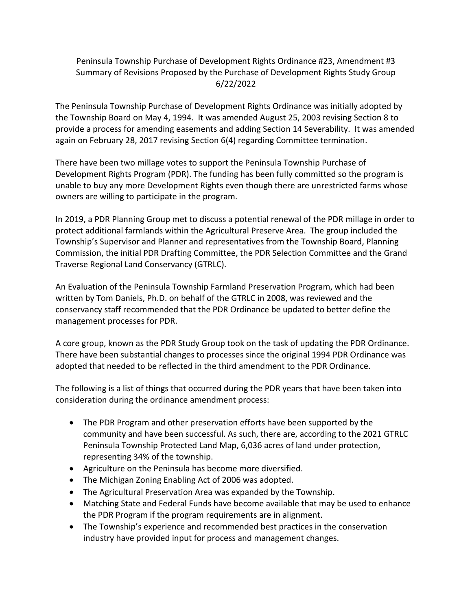### Peninsula Township Purchase of Development Rights Ordinance #23, Amendment #3 Summary of Revisions Proposed by the Purchase of Development Rights Study Group 6/22/2022

The Peninsula Township Purchase of Development Rights Ordinance was initially adopted by the Township Board on May 4, 1994. It was amended August 25, 2003 revising Section 8 to provide a process for amending easements and adding Section 14 Severability. It was amended again on February 28, 2017 revising Section 6(4) regarding Committee termination.

There have been two millage votes to support the Peninsula Township Purchase of Development Rights Program (PDR). The funding has been fully committed so the program is unable to buy any more Development Rights even though there are unrestricted farms whose owners are willing to participate in the program.

In 2019, a PDR Planning Group met to discuss a potential renewal of the PDR millage in order to protect additional farmlands within the Agricultural Preserve Area. The group included the Township's Supervisor and Planner and representatives from the Township Board, Planning Commission, the initial PDR Drafting Committee, the PDR Selection Committee and the Grand Traverse Regional Land Conservancy (GTRLC).

An Evaluation of the Peninsula Township Farmland Preservation Program, which had been written by Tom Daniels, Ph.D. on behalf of the GTRLC in 2008, was reviewed and the conservancy staff recommended that the PDR Ordinance be updated to better define the management processes for PDR.

A core group, known as the PDR Study Group took on the task of updating the PDR Ordinance. There have been substantial changes to processes since the original 1994 PDR Ordinance was adopted that needed to be reflected in the third amendment to the PDR Ordinance.

The following is a list of things that occurred during the PDR years that have been taken into consideration during the ordinance amendment process:

- The PDR Program and other preservation efforts have been supported by the community and have been successful. As such, there are, according to the 2021 GTRLC Peninsula Township Protected Land Map, 6,036 acres of land under protection, representing 34% of the township.
- Agriculture on the Peninsula has become more diversified.
- The Michigan Zoning Enabling Act of 2006 was adopted.
- The Agricultural Preservation Area was expanded by the Township.
- Matching State and Federal Funds have become available that may be used to enhance the PDR Program if the program requirements are in alignment.
- The Township's experience and recommended best practices in the conservation industry have provided input for process and management changes.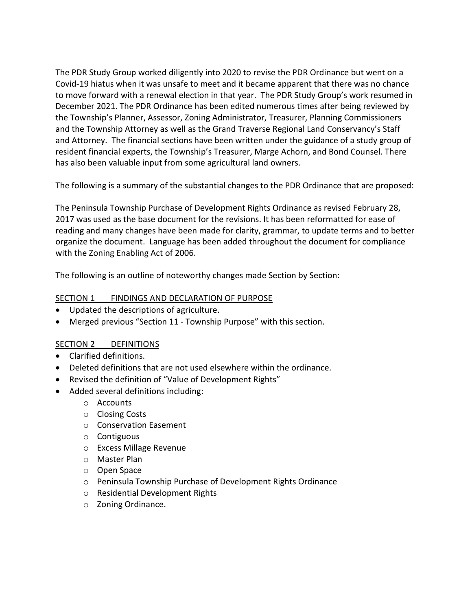The PDR Study Group worked diligently into 2020 to revise the PDR Ordinance but went on a Covid-19 hiatus when it was unsafe to meet and it became apparent that there was no chance to move forward with a renewal election in that year. The PDR Study Group's work resumed in December 2021. The PDR Ordinance has been edited numerous times after being reviewed by the Township's Planner, Assessor, Zoning Administrator, Treasurer, Planning Commissioners and the Township Attorney as well as the Grand Traverse Regional Land Conservancy's Staff and Attorney. The financial sections have been written under the guidance of a study group of resident financial experts, the Township's Treasurer, Marge Achorn, and Bond Counsel. There has also been valuable input from some agricultural land owners.

The following is a summary of the substantial changes to the PDR Ordinance that are proposed:

The Peninsula Township Purchase of Development Rights Ordinance as revised February 28, 2017 was used as the base document for the revisions. It has been reformatted for ease of reading and many changes have been made for clarity, grammar, to update terms and to better organize the document. Language has been added throughout the document for compliance with the Zoning Enabling Act of 2006.

The following is an outline of noteworthy changes made Section by Section:

#### SECTION 1 FINDINGS AND DECLARATION OF PURPOSE

- Updated the descriptions of agriculture.
- Merged previous "Section 11 Township Purpose" with this section.

#### SECTION 2 DEFINITIONS

- Clarified definitions.
- Deleted definitions that are not used elsewhere within the ordinance.
- Revised the definition of "Value of Development Rights"
- Added several definitions including:
	- o Accounts
	- o Closing Costs
	- o Conservation Easement
	- o Contiguous
	- o Excess Millage Revenue
	- o Master Plan
	- o Open Space
	- o Peninsula Township Purchase of Development Rights Ordinance
	- o Residential Development Rights
	- o Zoning Ordinance.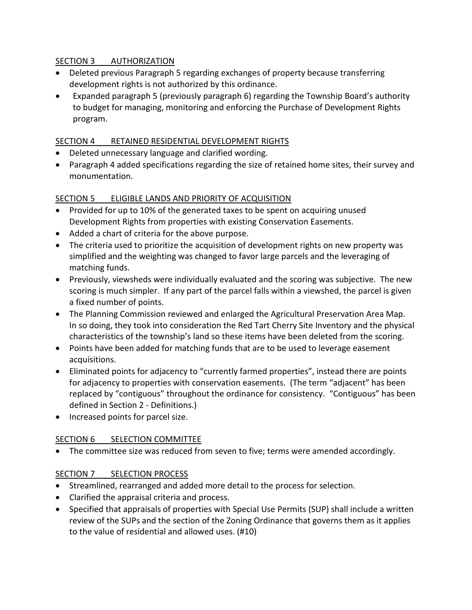#### SECTION 3 AUTHORIZATION

- Deleted previous Paragraph 5 regarding exchanges of property because transferring development rights is not authorized by this ordinance.
- Expanded paragraph 5 (previously paragraph 6) regarding the Township Board's authority to budget for managing, monitoring and enforcing the Purchase of Development Rights program.

## SECTION 4 RETAINED RESIDENTIAL DEVELOPMENT RIGHTS

- Deleted unnecessary language and clarified wording.
- Paragraph 4 added specifications regarding the size of retained home sites, their survey and monumentation.

# SECTION 5 ELIGIBLE LANDS AND PRIORITY OF ACQUISITION

- Provided for up to 10% of the generated taxes to be spent on acquiring unused Development Rights from properties with existing Conservation Easements.
- Added a chart of criteria for the above purpose.
- The criteria used to prioritize the acquisition of development rights on new property was simplified and the weighting was changed to favor large parcels and the leveraging of matching funds.
- Previously, viewsheds were individually evaluated and the scoring was subjective. The new scoring is much simpler. If any part of the parcel falls within a viewshed, the parcel is given a fixed number of points.
- The Planning Commission reviewed and enlarged the Agricultural Preservation Area Map. In so doing, they took into consideration the Red Tart Cherry Site Inventory and the physical characteristics of the township's land so these items have been deleted from the scoring.
- Points have been added for matching funds that are to be used to leverage easement acquisitions.
- Eliminated points for adjacency to "currently farmed properties", instead there are points for adjacency to properties with conservation easements. (The term "adjacent" has been replaced by "contiguous" throughout the ordinance for consistency. "Contiguous" has been defined in Section 2 - Definitions.)
- Increased points for parcel size.

# SECTION 6 SELECTION COMMITTEE

• The committee size was reduced from seven to five; terms were amended accordingly.

# SECTION 7 SELECTION PROCESS

- Streamlined, rearranged and added more detail to the process for selection.
- Clarified the appraisal criteria and process.
- Specified that appraisals of properties with Special Use Permits (SUP) shall include a written review of the SUPs and the section of the Zoning Ordinance that governs them as it applies to the value of residential and allowed uses. (#10)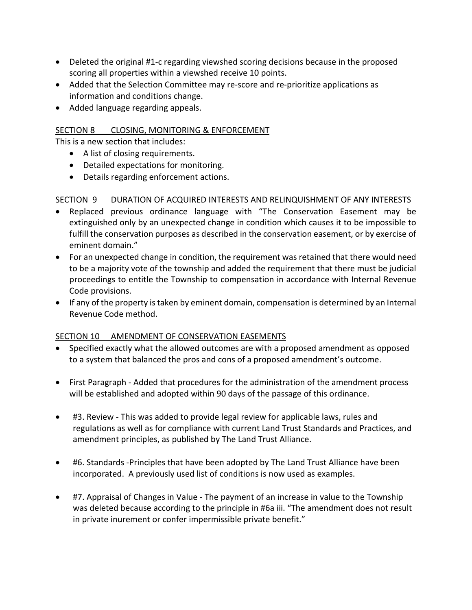- Deleted the original #1-c regarding viewshed scoring decisions because in the proposed scoring all properties within a viewshed receive 10 points.
- Added that the Selection Committee may re-score and re-prioritize applications as information and conditions change.
- Added language regarding appeals.

### SECTION 8 CLOSING, MONITORING & ENFORCEMENT

This is a new section that includes:

- A list of closing requirements.
- Detailed expectations for monitoring.
- Details regarding enforcement actions.

### SECTION 9 DURATION OF ACQUIRED INTERESTS AND RELINQUISHMENT OF ANY INTERESTS

- Replaced previous ordinance language with "The Conservation Easement may be extinguished only by an unexpected change in condition which causes it to be impossible to fulfill the conservation purposes as described in the conservation easement, or by exercise of eminent domain."
- For an unexpected change in condition, the requirement was retained that there would need to be a majority vote of the township and added the requirement that there must be judicial proceedings to entitle the Township to compensation in accordance with Internal Revenue Code provisions.
- If any of the property is taken by eminent domain, compensation is determined by an Internal Revenue Code method.

# SECTION 10 AMENDMENT OF CONSERVATION EASEMENTS

- Specified exactly what the allowed outcomes are with a proposed amendment as opposed to a system that balanced the pros and cons of a proposed amendment's outcome.
- First Paragraph Added that procedures for the administration of the amendment process will be established and adopted within 90 days of the passage of this ordinance.
- #3. Review This was added to provide legal review for applicable laws, rules and regulations as well as for compliance with current Land Trust Standards and Practices, and amendment principles, as published by The Land Trust Alliance.
- #6. Standards -Principles that have been adopted by The Land Trust Alliance have been incorporated. A previously used list of conditions is now used as examples.
- #7. Appraisal of Changes in Value The payment of an increase in value to the Township was deleted because according to the principle in #6a iii. "The amendment does not result in private inurement or confer impermissible private benefit."